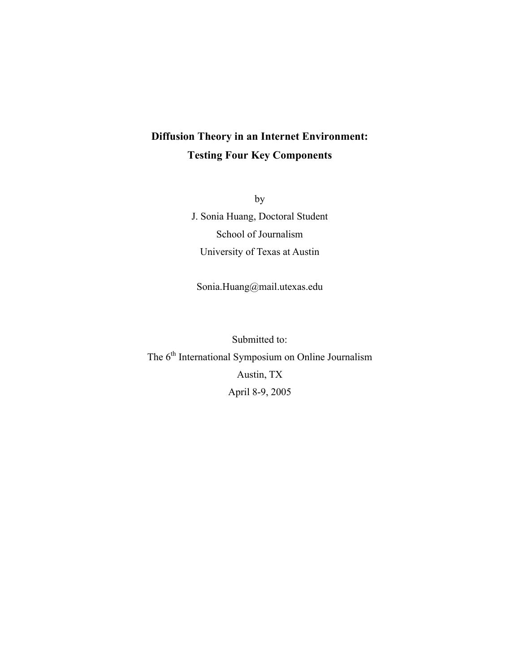# Diffusion Theory in an Internet Environment: Testing Four Key Components

by J. Sonia Huang, Doctoral Student School of Journalism University of Texas at Austin

Sonia.Huang@mail.utexas.edu

Submitted to: The 6<sup>th</sup> International Symposium on Online Journalism Austin, TX April 8-9, 2005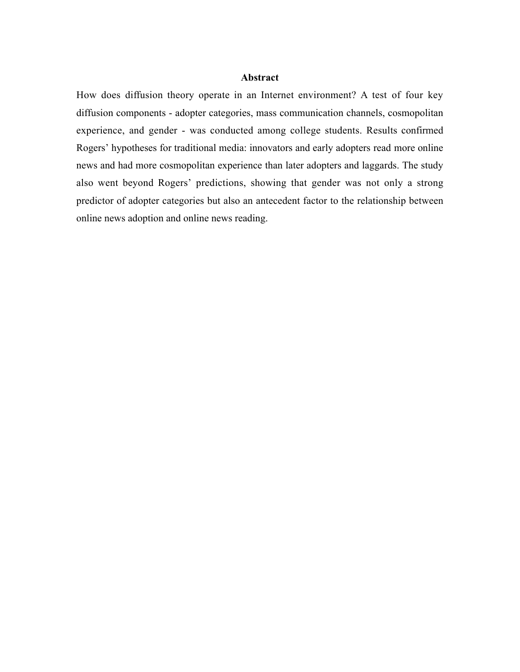#### Abstract

How does diffusion theory operate in an Internet environment? A test of four key diffusion components - adopter categories, mass communication channels, cosmopolitan experience, and gender - was conducted among college students. Results confirmed Rogers' hypotheses for traditional media: innovators and early adopters read more online news and had more cosmopolitan experience than later adopters and laggards. The study also went beyond Rogers' predictions, showing that gender was not only a strong predictor of adopter categories but also an antecedent factor to the relationship between online news adoption and online news reading.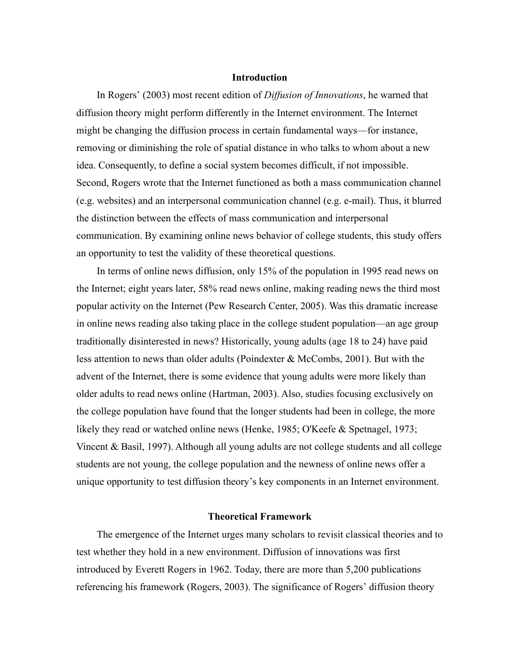#### Introduction

In Rogers' (2003) most recent edition of *Diffusion of Innovations*, he warned that diffusion theory might perform differently in the Internet environment. The Internet might be changing the diffusion process in certain fundamental ways—for instance, removing or diminishing the role of spatial distance in who talks to whom about a new idea. Consequently, to define a social system becomes difficult, if not impossible. Second, Rogers wrote that the Internet functioned as both a mass communication channel (e.g. websites) and an interpersonal communication channel (e.g. e-mail). Thus, it blurred the distinction between the effects of mass communication and interpersonal communication. By examining online news behavior of college students, this study offers an opportunity to test the validity of these theoretical questions.

In terms of online news diffusion, only 15% of the population in 1995 read news on the Internet; eight years later, 58% read news online, making reading news the third most popular activity on the Internet (Pew Research Center, 2005). Was this dramatic increase in online news reading also taking place in the college student population—an age group traditionally disinterested in news? Historically, young adults (age 18 to 24) have paid less attention to news than older adults (Poindexter & McCombs, 2001). But with the advent of the Internet, there is some evidence that young adults were more likely than older adults to read news online (Hartman, 2003). Also, studies focusing exclusively on the college population have found that the longer students had been in college, the more likely they read or watched online news (Henke, 1985; O'Keefe & Spetnagel, 1973; Vincent & Basil, 1997). Although all young adults are not college students and all college students are not young, the college population and the newness of online news offer a unique opportunity to test diffusion theory's key components in an Internet environment.

#### Theoretical Framework

The emergence of the Internet urges many scholars to revisit classical theories and to test whether they hold in a new environment. Diffusion of innovations was first introduced by Everett Rogers in 1962. Today, there are more than 5,200 publications referencing his framework (Rogers, 2003). The significance of Rogers' diffusion theory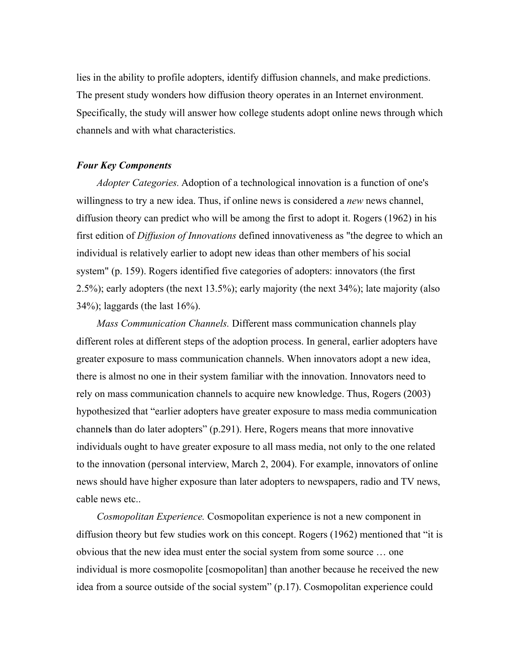lies in the ability to profile adopters, identify diffusion channels, and make predictions. The present study wonders how diffusion theory operates in an Internet environment. Specifically, the study will answer how college students adopt online news through which channels and with what characteristics.

#### *Four Key Components*

*Adopter Categories.* Adoption of a technological innovation is a function of one's willingness to try a new idea. Thus, if online news is considered a *new* news channel, diffusion theory can predict who will be among the first to adopt it. Rogers (1962) in his first edition of *Diffusion of Innovations* defined innovativeness as "the degree to which an individual is relatively earlier to adopt new ideas than other members of his social system" (p. 159). Rogers identified five categories of adopters: innovators (the first 2.5%); early adopters (the next 13.5%); early majority (the next 34%); late majority (also 34%); laggards (the last 16%).

*Mass Communication Channels.* Different mass communication channels play different roles at different steps of the adoption process. In general, earlier adopters have greater exposure to mass communication channels. When innovators adopt a new idea, there is almost no one in their system familiar with the innovation. Innovators need to rely on mass communication channels to acquire new knowledge. Thus, Rogers (2003) hypothesized that "earlier adopters have greater exposure to mass media communication channels than do later adopters" (p.291). Here, Rogers means that more innovative individuals ought to have greater exposure to all mass media, not only to the one related to the innovation (personal interview, March 2, 2004). For example, innovators of online news should have higher exposure than later adopters to newspapers, radio and TV news, cable news etc..

*Cosmopolitan Experience.* Cosmopolitan experience is not a new component in diffusion theory but few studies work on this concept. Rogers (1962) mentioned that "it is obvious that the new idea must enter the social system from some source … one individual is more cosmopolite [cosmopolitan] than another because he received the new idea from a source outside of the social system" (p.17). Cosmopolitan experience could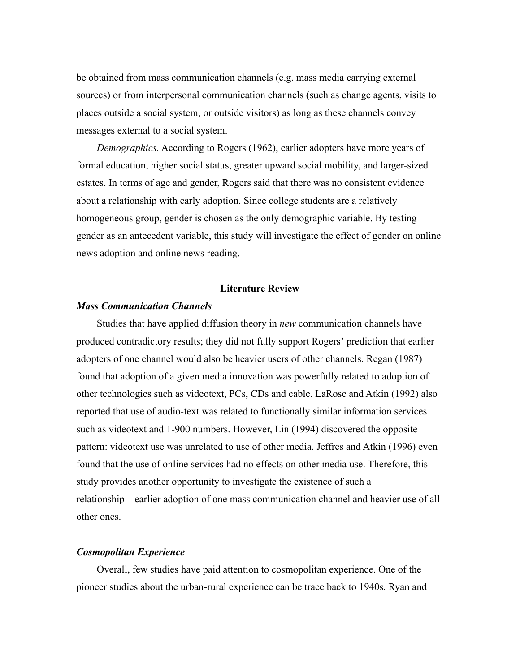be obtained from mass communication channels (e.g. mass media carrying external sources) or from interpersonal communication channels (such as change agents, visits to places outside a social system, or outside visitors) as long as these channels convey messages external to a social system.

*Demographics.* According to Rogers (1962), earlier adopters have more years of formal education, higher social status, greater upward social mobility, and larger-sized estates. In terms of age and gender, Rogers said that there was no consistent evidence about a relationship with early adoption. Since college students are a relatively homogeneous group, gender is chosen as the only demographic variable. By testing gender as an antecedent variable, this study will investigate the effect of gender on online news adoption and online news reading.

#### Literature Review

#### *Mass Communication Channels*

Studies that have applied diffusion theory in *new* communication channels have produced contradictory results; they did not fully support Rogers' prediction that earlier adopters of one channel would also be heavier users of other channels. Regan (1987) found that adoption of a given media innovation was powerfully related to adoption of other technologies such as videotext, PCs, CDs and cable. LaRose and Atkin (1992) also reported that use of audio-text was related to functionally similar information services such as videotext and 1-900 numbers. However, Lin (1994) discovered the opposite pattern: videotext use was unrelated to use of other media. Jeffres and Atkin (1996) even found that the use of online services had no effects on other media use. Therefore, this study provides another opportunity to investigate the existence of such a relationship—earlier adoption of one mass communication channel and heavier use of all other ones.

## *Cosmopolitan Experience*

Overall, few studies have paid attention to cosmopolitan experience. One of the pioneer studies about the urban-rural experience can be trace back to 1940s. Ryan and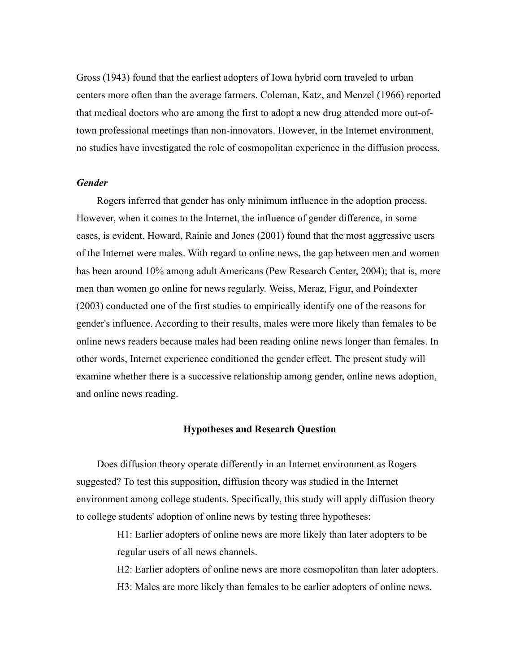Gross (1943) found that the earliest adopters of Iowa hybrid corn traveled to urban centers more often than the average farmers. Coleman, Katz, and Menzel (1966) reported that medical doctors who are among the first to adopt a new drug attended more out-oftown professional meetings than non-innovators. However, in the Internet environment, no studies have investigated the role of cosmopolitan experience in the diffusion process.

## *Gender*

Rogers inferred that gender has only minimum influence in the adoption process. However, when it comes to the Internet, the influence of gender difference, in some cases, is evident. Howard, Rainie and Jones (2001) found that the most aggressive users of the Internet were males. With regard to online news, the gap between men and women has been around 10% among adult Americans (Pew Research Center, 2004); that is, more men than women go online for news regularly. Weiss, Meraz, Figur, and Poindexter (2003) conducted one of the first studies to empirically identify one of the reasons for gender's influence. According to their results, males were more likely than females to be online news readers because males had been reading online news longer than females. In other words, Internet experience conditioned the gender effect. The present study will examine whether there is a successive relationship among gender, online news adoption, and online news reading.

#### Hypotheses and Research Question

Does diffusion theory operate differently in an Internet environment as Rogers suggested? To test this supposition, diffusion theory was studied in the Internet environment among college students. Specifically, this study will apply diffusion theory to college students' adoption of online news by testing three hypotheses:

> H1: Earlier adopters of online news are more likely than later adopters to be regular users of all news channels.

H2: Earlier adopters of online news are more cosmopolitan than later adopters. H3: Males are more likely than females to be earlier adopters of online news.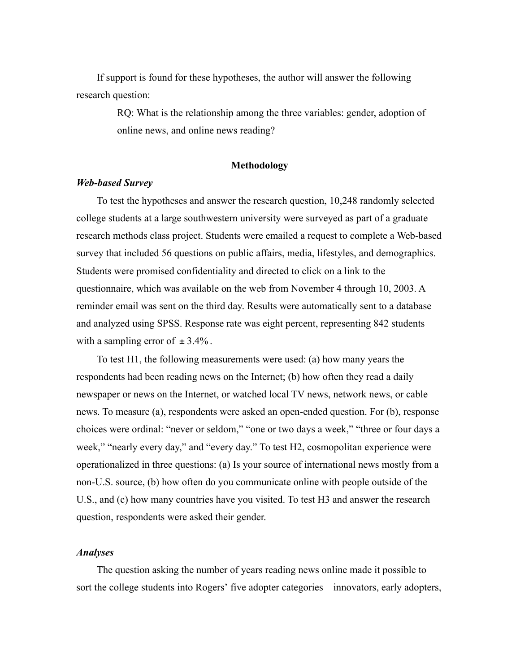If support is found for these hypotheses, the author will answer the following research question:

> RQ: What is the relationship among the three variables: gender, adoption of online news, and online news reading?

## Methodology

#### *Web-based Survey*

To test the hypotheses and answer the research question, 10,248 randomly selected college students at a large southwestern university were surveyed as part of a graduate research methods class project. Students were emailed a request to complete a Web-based survey that included 56 questions on public affairs, media, lifestyles, and demographics. Students were promised confidentiality and directed to click on a link to the questionnaire, which was available on the web from November 4 through 10, 2003. A reminder email was sent on the third day. Results were automatically sent to a database and analyzed using SPSS. Response rate was eight percent, representing 842 students with a sampling error of  $\pm 3.4\%$ .

To test H1, the following measurements were used: (a) how many years the respondents had been reading news on the Internet; (b) how often they read a daily newspaper or news on the Internet, or watched local TV news, network news, or cable news. To measure (a), respondents were asked an open-ended question. For (b), response choices were ordinal: "never or seldom," "one or two days a week," "three or four days a week," "nearly every day," and "every day." To test H2, cosmopolitan experience were operationalized in three questions: (a) Is your source of international news mostly from a non-U.S. source, (b) how often do you communicate online with people outside of the U.S., and (c) how many countries have you visited. To test H3 and answer the research question, respondents were asked their gender.

## *Analyses*

The question asking the number of years reading news online made it possible to sort the college students into Rogers' five adopter categories—innovators, early adopters,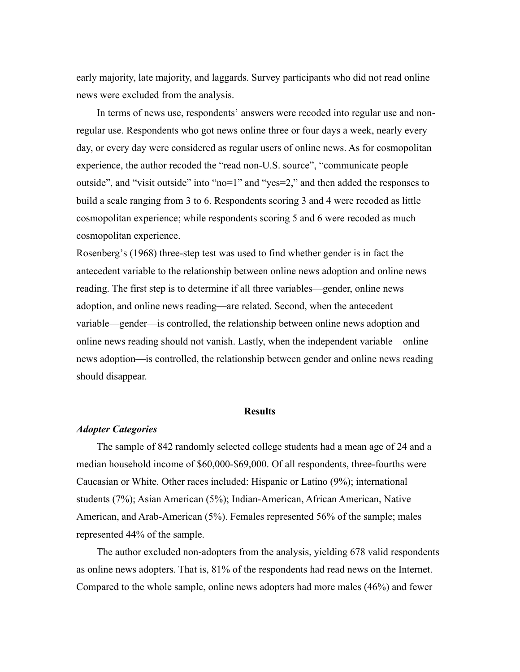early majority, late majority, and laggards. Survey participants who did not read online news were excluded from the analysis.

In terms of news use, respondents' answers were recoded into regular use and nonregular use. Respondents who got news online three or four days a week, nearly every day, or every day were considered as regular users of online news. As for cosmopolitan experience, the author recoded the "read non-U.S. source", "communicate people outside", and "visit outside" into "no=1" and "yes=2," and then added the responses to build a scale ranging from 3 to 6. Respondents scoring 3 and 4 were recoded as little cosmopolitan experience; while respondents scoring 5 and 6 were recoded as much cosmopolitan experience.

Rosenberg's (1968) three-step test was used to find whether gender is in fact the antecedent variable to the relationship between online news adoption and online news reading. The first step is to determine if all three variables—gender, online news adoption, and online news reading—are related. Second, when the antecedent variable—gender—is controlled, the relationship between online news adoption and online news reading should not vanish. Lastly, when the independent variable—online news adoption—is controlled, the relationship between gender and online news reading should disappear.

#### **Results**

#### *Adopter Categories*

The sample of 842 randomly selected college students had a mean age of 24 and a median household income of \$60,000-\$69,000. Of all respondents, three-fourths were Caucasian or White. Other races included: Hispanic or Latino (9%); international students (7%); Asian American (5%); Indian-American, African American, Native American, and Arab-American (5%). Females represented 56% of the sample; males represented 44% of the sample.

The author excluded non-adopters from the analysis, yielding 678 valid respondents as online news adopters. That is, 81% of the respondents had read news on the Internet. Compared to the whole sample, online news adopters had more males (46%) and fewer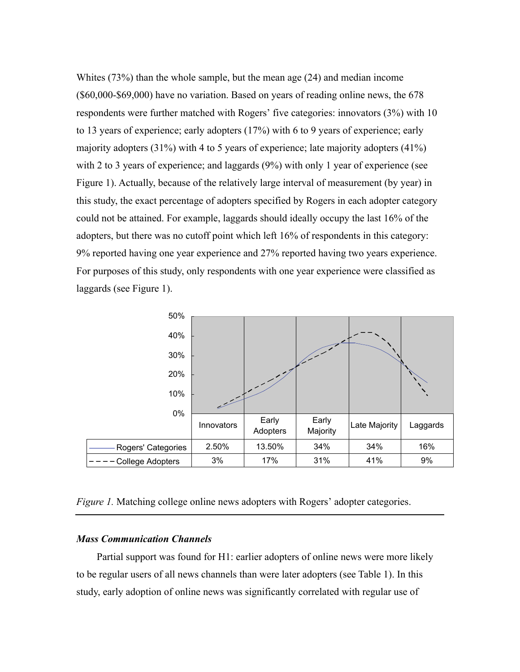Whites (73%) than the whole sample, but the mean age (24) and median income (\$60,000-\$69,000) have no variation. Based on years of reading online news, the 678 respondents were further matched with Rogers' five categories: innovators (3%) with 10 to 13 years of experience; early adopters (17%) with 6 to 9 years of experience; early majority adopters (31%) with 4 to 5 years of experience; late majority adopters (41%) with 2 to 3 years of experience; and laggards (9%) with only 1 year of experience (see Figure 1). Actually, because of the relatively large interval of measurement (by year) in this study, the exact percentage of adopters specified by Rogers in each adopter category could not be attained. For example, laggards should ideally occupy the last 16% of the adopters, but there was no cutoff point which left 16% of respondents in this category: 9% reported having one year experience and 27% reported having two years experience. For purposes of this study, only respondents with one year experience were classified as laggards (see Figure 1).



*Figure 1.* Matching college online news adopters with Rogers' adopter categories.

### *Mass Communication Channels*

Partial support was found for H1: earlier adopters of online news were more likely to be regular users of all news channels than were later adopters (see Table 1). In this study, early adoption of online news was significantly correlated with regular use of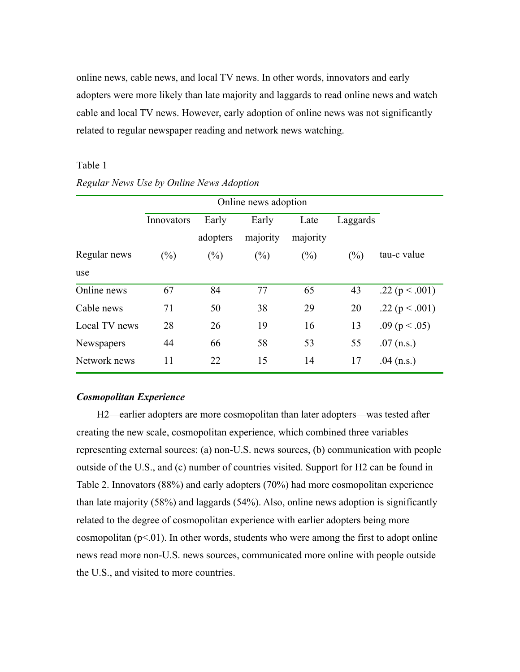online news, cable news, and local TV news. In other words, innovators and early adopters were more likely than late majority and laggards to read online news and watch cable and local TV news. However, early adoption of online news was not significantly related to regular newspaper reading and network news watching.

## Table 1

|               | Online news adoption |          |          |          |          |                    |
|---------------|----------------------|----------|----------|----------|----------|--------------------|
|               | Innovators           | Early    | Early    | Late     | Laggards |                    |
|               |                      | adopters | majority | majority |          |                    |
| Regular news  | (%)                  | (%)      | $(\%)$   | $(\%)$   | $(\%)$   | tau-c value        |
| use           |                      |          |          |          |          |                    |
| Online news   | 67                   | 84       | 77       | 65       | 43       | .22 ( $p < .001$ ) |
| Cable news    | 71                   | 50       | 38       | 29       | 20       | .22 ( $p < .001$ ) |
| Local TV news | 28                   | 26       | 19       | 16       | 13       | .09 ( $p < .05$ )  |
| Newspapers    | 44                   | 66       | 58       | 53       | 55       | $.07$ (n.s.)       |
| Network news  | 11                   | 22       | 15       | 14       | 17       | .04 $(n.s.)$       |

## *Regular News Use by Online News Adoption*

## *Cosmopolitan Experience*

H2—earlier adopters are more cosmopolitan than later adopters—was tested after creating the new scale, cosmopolitan experience, which combined three variables representing external sources: (a) non-U.S. news sources, (b) communication with people outside of the U.S., and (c) number of countries visited. Support for H2 can be found in Table 2. Innovators (88%) and early adopters (70%) had more cosmopolitan experience than late majority (58%) and laggards (54%). Also, online news adoption is significantly related to the degree of cosmopolitan experience with earlier adopters being more cosmopolitan  $(p<0.01)$ . In other words, students who were among the first to adopt online news read more non-U.S. news sources, communicated more online with people outside the U.S., and visited to more countries.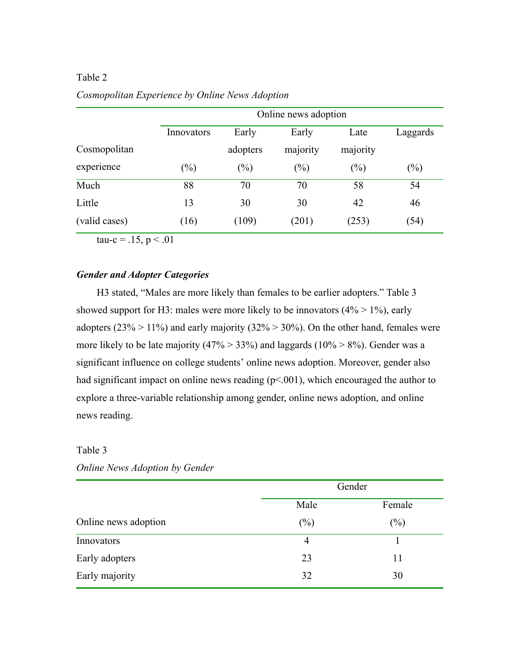|               |            | Online news adoption |          |          |          |
|---------------|------------|----------------------|----------|----------|----------|
|               | Innovators | Early                | Early    | Late     | Laggards |
| Cosmopolitan  |            | adopters             | majority | majority |          |
| experience    | $(\%)$     | (%)                  | $(\%)$   | $(\%)$   | $(\%)$   |
| Much          | 88         | 70                   | 70       | 58       | 54       |
| Little        | 13         | 30                   | 30       | 42       | 46       |
| (valid cases) | (16)       | (109)                | (201)    | (253)    | (54)     |

## Table 2 *Cosmopolitan Experience by Online News Adoption*

tau-c =  $.15, p < .01$ 

## *Gender and Adopter Categories*

H3 stated, "Males are more likely than females to be earlier adopters." Table 3 showed support for H3: males were more likely to be innovators  $(4\% > 1\%)$ , early adopters ( $23\% > 11\%$ ) and early majority ( $32\% > 30\%$ ). On the other hand, females were more likely to be late majority  $(47\% > 33\%)$  and laggards  $(10\% > 8\%)$ . Gender was a significant influence on college students' online news adoption. Moreover, gender also had significant impact on online news reading  $(p<.001)$ , which encouraged the author to explore a three-variable relationship among gender, online news adoption, and online news reading.

## Table 3

|                      |        | Gender |
|----------------------|--------|--------|
|                      | Male   | Female |
| Online news adoption | $(\%)$ | $(\%)$ |
| Innovators           | 4      |        |
| Early adopters       | 23     | 11     |
| Early majority       | 32     | 30     |

*Online News Adoption by Gender*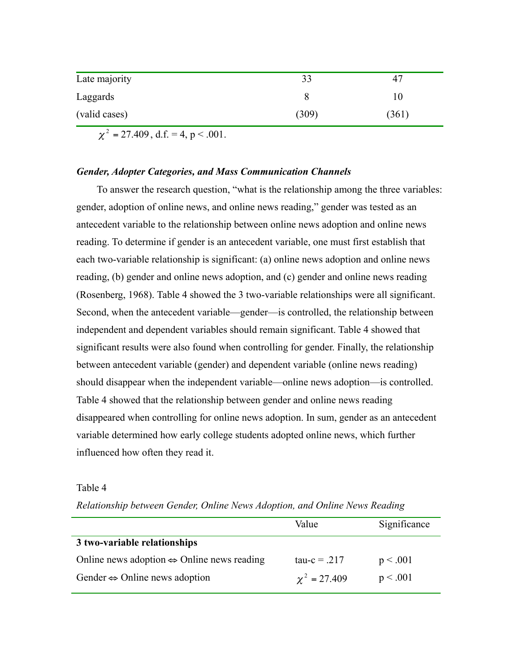| Late majority |       | 4/    |
|---------------|-------|-------|
| Laggards      |       | l U   |
| (valid cases) | (309) | (361) |

 $\chi^2$  = 27.409, d.f. = 4, p < .001.

#### *Gender, Adopter Categories, and Mass Communication Channels*

To answer the research question, "what is the relationship among the three variables: gender, adoption of online news, and online news reading," gender was tested as an antecedent variable to the relationship between online news adoption and online news reading. To determine if gender is an antecedent variable, one must first establish that each two-variable relationship is significant: (a) online news adoption and online news reading, (b) gender and online news adoption, and (c) gender and online news reading (Rosenberg, 1968). Table 4 showed the 3 two-variable relationships were all significant. Second, when the antecedent variable—gender—is controlled, the relationship between independent and dependent variables should remain significant. Table 4 showed that significant results were also found when controlling for gender. Finally, the relationship between antecedent variable (gender) and dependent variable (online news reading) should disappear when the independent variable—online news adoption—is controlled. Table 4 showed that the relationship between gender and online news reading disappeared when controlling for online news adoption. In sum, gender as an antecedent variable determined how early college students adopted online news, which further influenced how often they read it.

#### Table 4

*Relationship between Gender, Online News Adoption, and Online News Reading*

|                                                            | Value             | Significance |
|------------------------------------------------------------|-------------------|--------------|
| 3 two-variable relationships                               |                   |              |
| Online news adoption $\Leftrightarrow$ Online news reading | $tau = .217$      | p < .001     |
| Gender $\Leftrightarrow$ Online news adoption              | $\chi^2 = 27.409$ | p < .001     |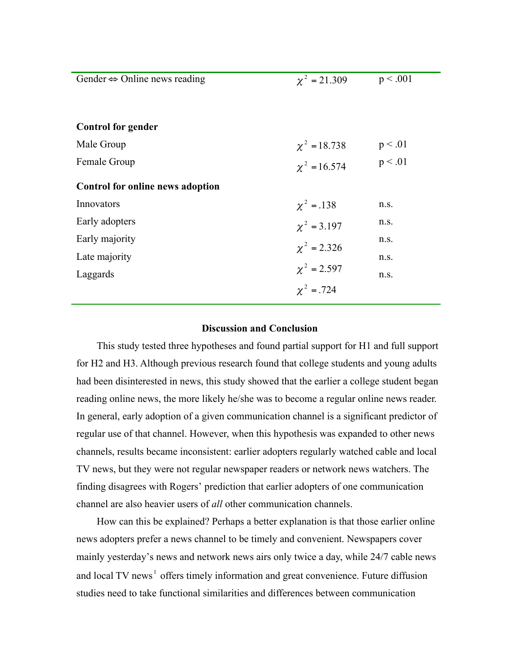| Gender $\Leftrightarrow$ Online news reading | $\chi^2 = 21.309$ | p < .001 |
|----------------------------------------------|-------------------|----------|
|                                              |                   |          |
| <b>Control for gender</b>                    |                   |          |
| Male Group                                   | $\chi^2 = 18.738$ | p < 0.01 |
| Female Group                                 | $\chi^2 = 16.574$ | p < 0.01 |
| Control for online news adoption             |                   |          |
| Innovators                                   | $\chi^2 = .138$   | n.s.     |
| Early adopters                               | $\chi^2 = 3.197$  | n.s.     |
| Early majority                               | $\chi^2 = 2.326$  | n.s.     |
| Late majority                                |                   | n.s.     |
| Laggards                                     | $\chi^2 = 2.597$  | n.s.     |
|                                              | $x^2 = 724$       |          |

## Discussion and Conclusion

This study tested three hypotheses and found partial support for H1 and full support for H2 and H3. Although previous research found that college students and young adults had been disinterested in news, this study showed that the earlier a college student began reading online news, the more likely he/she was to become a regular online news reader. In general, early adoption of a given communication channel is a significant predictor of regular use of that channel. However, when this hypothesis was expanded to other news channels, results became inconsistent: earlier adopters regularly watched cable and local TV news, but they were not regular newspaper readers or network news watchers. The finding disagrees with Rogers' prediction that earlier adopters of one communication channel are also heavier users of *all* other communication channels.

How can this be explained? Perhaps a better explanation is that those earlier online news adopters prefer a news channel to be timely and convenient. Newspapers cover mainly yesterday's news and network news airs only twice a day, while 24/7 cable news and local TV news<sup>1</sup> offers timely information and great convenience. Future diffusion studies need to take functional similarities and differences between communication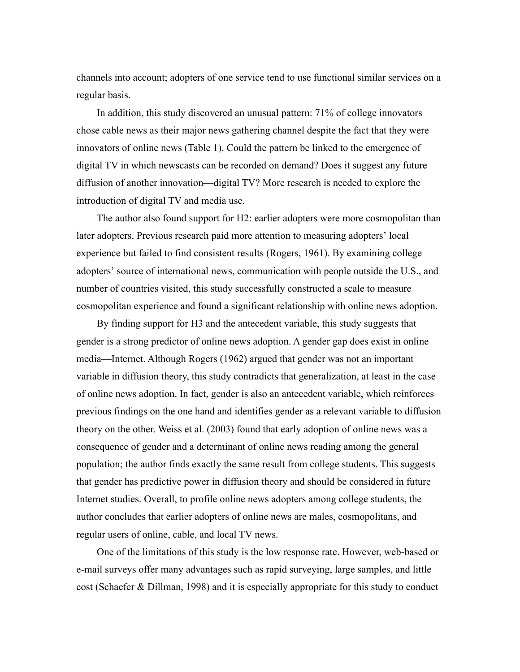channels into account; adopters of one service tend to use functional similar services on a regular basis.

In addition, this study discovered an unusual pattern: 71% of college innovators chose cable news as their major news gathering channel despite the fact that they were innovators of online news (Table 1). Could the pattern be linked to the emergence of digital TV in which newscasts can be recorded on demand? Does it suggest any future diffusion of another innovation—digital TV? More research is needed to explore the introduction of digital TV and media use.

The author also found support for H2: earlier adopters were more cosmopolitan than later adopters. Previous research paid more attention to measuring adopters' local experience but failed to find consistent results (Rogers, 1961). By examining college adopters' source of international news, communication with people outside the U.S., and number of countries visited, this study successfully constructed a scale to measure cosmopolitan experience and found a significant relationship with online news adoption.

By finding support for H3 and the antecedent variable, this study suggests that gender is a strong predictor of online news adoption. A gender gap does exist in online media—Internet. Although Rogers (1962) argued that gender was not an important variable in diffusion theory, this study contradicts that generalization, at least in the case of online news adoption. In fact, gender is also an antecedent variable, which reinforces previous findings on the one hand and identifies gender as a relevant variable to diffusion theory on the other. Weiss et al. (2003) found that early adoption of online news was a consequence of gender and a determinant of online news reading among the general population; the author finds exactly the same result from college students. This suggests that gender has predictive power in diffusion theory and should be considered in future Internet studies. Overall, to profile online news adopters among college students, the author concludes that earlier adopters of online news are males, cosmopolitans, and regular users of online, cable, and local TV news.

One of the limitations of this study is the low response rate. However, web-based or e-mail surveys offer many advantages such as rapid surveying, large samples, and little cost (Schaefer & Dillman, 1998) and it is especially appropriate for this study to conduct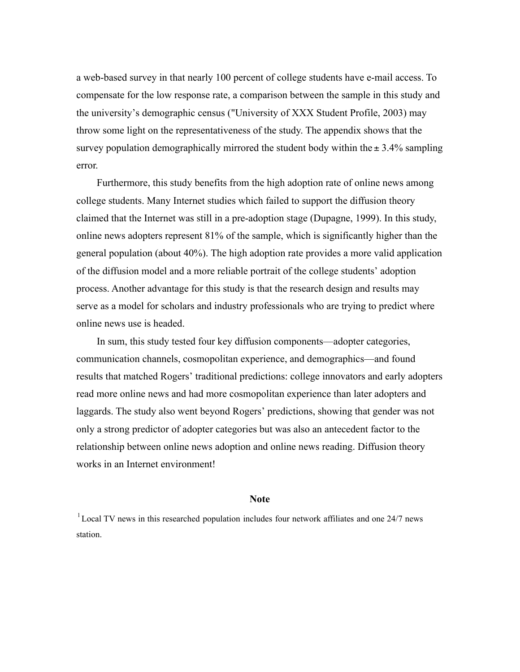a web-based survey in that nearly 100 percent of college students have e-mail access. To compensate for the low response rate, a comparison between the sample in this study and the university's demographic census ("University of XXX Student Profile, 2003) may throw some light on the representativeness of the study. The appendix shows that the survey population demographically mirrored the student body within the  $\pm$  3.4% sampling error.

Furthermore, this study benefits from the high adoption rate of online news among college students. Many Internet studies which failed to support the diffusion theory claimed that the Internet was still in a pre-adoption stage (Dupagne, 1999). In this study, online news adopters represent 81% of the sample, which is significantly higher than the general population (about 40%). The high adoption rate provides a more valid application of the diffusion model and a more reliable portrait of the college students' adoption process. Another advantage for this study is that the research design and results may serve as a model for scholars and industry professionals who are trying to predict where online news use is headed.

In sum, this study tested four key diffusion components—adopter categories, communication channels, cosmopolitan experience, and demographics—and found results that matched Rogers' traditional predictions: college innovators and early adopters read more online news and had more cosmopolitan experience than later adopters and laggards. The study also went beyond Rogers' predictions, showing that gender was not only a strong predictor of adopter categories but was also an antecedent factor to the relationship between online news adoption and online news reading. Diffusion theory works in an Internet environment!

#### **Note**

 $1$  Local TV news in this researched population includes four network affiliates and one 24/7 news station.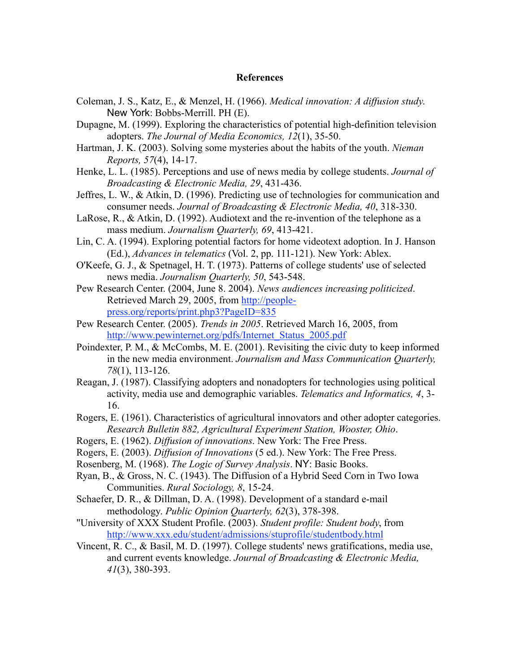#### **References**

- Coleman, J. S., Katz, E., & Menzel, H. (1966). *Medical innovation: A diffusion study*. New York: Bobbs-Merrill. PH (E).
- Dupagne, M. (1999). Exploring the characteristics of potential high-definition television adopters. *The Journal of Media Economics, 12*(1), 35-50.
- Hartman, J. K. (2003). Solving some mysteries about the habits of the youth. *Nieman Reports, 57*(4), 14-17.
- Henke, L. L. (1985). Perceptions and use of news media by college students. *Journal of Broadcasting & Electronic Media, 29*, 431-436.
- Jeffres, L. W., & Atkin, D. (1996). Predicting use of technologies for communication and consumer needs. *Journal of Broadcasting & Electronic Media, 40*, 318-330.
- LaRose, R., & Atkin, D. (1992). Audiotext and the re-invention of the telephone as a mass medium. *Journalism Quarterly, 69*, 413-421.
- Lin, C. A. (1994). Exploring potential factors for home videotext adoption. In J. Hanson (Ed.), *Advances in telematics* (Vol. 2, pp. 111-121). New York: Ablex.
- O'Keefe, G. J., & Spetnagel, H. T. (1973). Patterns of college students' use of selected news media. *Journalism Quarterly, 50*, 543-548.
- Pew Research Center. (2004, June 8. 2004). *News audiences increasing politicized*. Retrieved March 29, 2005, from http://peoplepress.org/reports/print.php3?PageID=835
- Pew Research Center. (2005). *Trends in 2005*. Retrieved March 16, 2005, from http://www.pewinternet.org/pdfs/Internet\_Status\_2005.pdf
- Poindexter, P. M., & McCombs, M. E. (2001). Revisiting the civic duty to keep informed in the new media environment. *Journalism and Mass Communication Quarterly, 78*(1), 113-126.
- Reagan, J. (1987). Classifying adopters and nonadopters for technologies using political activity, media use and demographic variables. *Telematics and Informatics, 4*, 3- 16.
- Rogers, E. (1961). Characteristics of agricultural innovators and other adopter categories. *Research Bulletin 882, Agricultural Experiment Station, Wooster, Ohio*.
- Rogers, E. (1962). *Diffusion of innovations*. New York: The Free Press.
- Rogers, E. (2003). *Diffusion of Innovations* (5 ed.). New York: The Free Press.
- Rosenberg, M. (1968). *The Logic of Survey Analysis*. NY: Basic Books.
- Ryan, B., & Gross, N. C. (1943). The Diffusion of a Hybrid Seed Corn in Two Iowa Communities. *Rural Sociology, 8*, 15-24.
- Schaefer, D. R., & Dillman, D. A. (1998). Development of a standard e-mail methodology. *Public Opinion Quarterly, 62*(3), 378-398.
- "University of XXX Student Profile. (2003). *Student profile: Student body*, from http://www.xxx.edu/student/admissions/stuprofile/studentbody.html
- Vincent, R. C., & Basil, M. D. (1997). College students' news gratifications, media use, and current events knowledge. *Journal of Broadcasting & Electronic Media, 41*(3), 380-393.